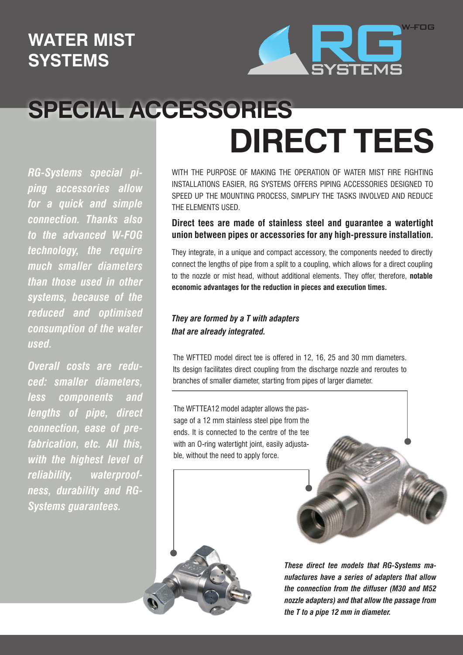## **WATER MIST SYSTEMS**



## **SPECIAL ACCESSORIES DIRECT TEES**

*RG-Systems special piping accessories allow for a quick and simple connection. Thanks also to the advanced W-FOG technology, the require much smaller diameters than those used in other systems, because of the reduced and optimised consumption of the water used.*

*Overall costs are reduced: smaller diameters, less components and lengths of pipe, direct connection, ease of prefabrication, etc. All this, with the highest level of reliability, waterproofness, durability and RG-Systems guarantees.*

WITH THE PURPOSE OF MAKING THE OPERATION OF WATER MIST FIRE FIGHTING INSTALLATIONS EASIER, RG SYSTEMS OFFERS PIPING ACCESSORIES DESIGNED TO SPEED UP THE MOUNTING PROCESS, SIMPLIFY THE TASKS INVOLVED AND REDUCE THE ELEMENTS USED.

## **Direct tees are made of stainless steel and guarantee a watertight union between pipes or accessories for any high-pressure installation.**

They integrate, in a unique and compact accessory, the components needed to directly connect the lengths of pipe from a split to a coupling, which allows for a direct coupling to the nozzle or mist head, without additional elements. They offer, therefore, **notable economic advantages for the reduction in pieces and execution times.**

## *They are formed by a T with adapters that are already integrated.*

The WFTTED model direct tee is offered in 12, 16, 25 and 30 mm diameters. Its design facilitates direct coupling from the discharge nozzle and reroutes to branches of smaller diameter, starting from pipes of larger diameter.

The WFTTEA12 model adapter allows the passage of a 12 mm stainless steel pipe from the ends. It is connected to the centre of the tee with an O-ring watertight joint, easily adjustable, without the need to apply force.



*These direct tee models that RG-Systems manufactures have a series of adapters that allow the connection from the diffuser (M30 and M52 nozzle adapters) and that allow the passage from the T to a pipe 12 mm in diameter.*